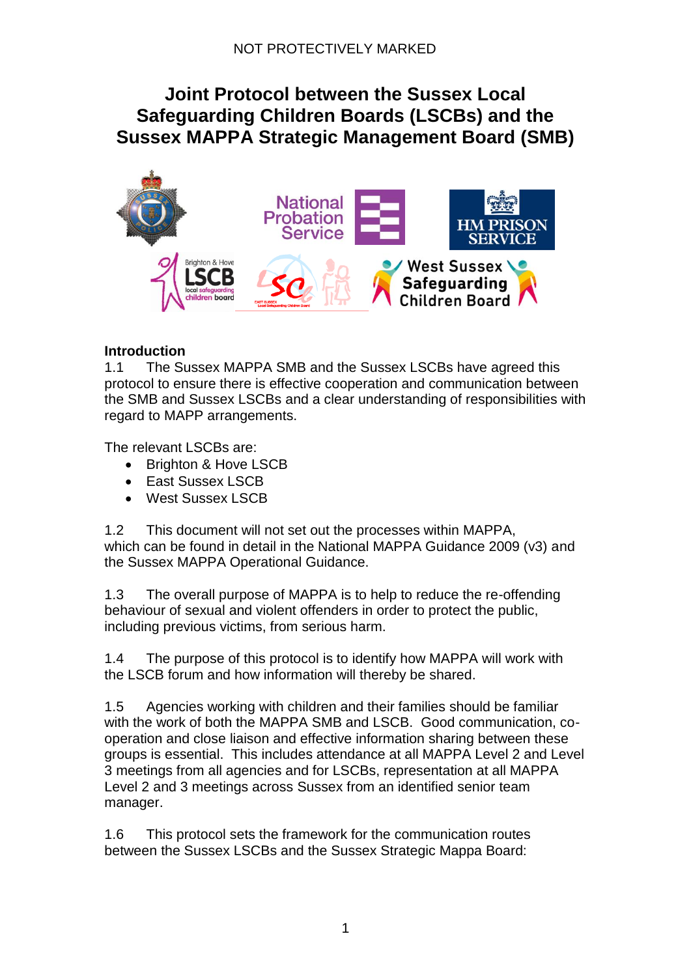# **Joint Protocol between the Sussex Local Safeguarding Children Boards (LSCBs) and the Sussex MAPPA Strategic Management Board (SMB)**



#### **Introduction**

1.1 The Sussex MAPPA SMB and the Sussex LSCBs have agreed this protocol to ensure there is effective cooperation and communication between the SMB and Sussex LSCBs and a clear understanding of responsibilities with regard to MAPP arrangements.

The relevant LSCBs are:

- Brighton & Hove LSCB
- East Sussex LSCB
- West Sussex LSCB

1.2 This document will not set out the processes within MAPPA, which can be found in detail in the National MAPPA Guidance 2009 (v3) and the Sussex MAPPA Operational Guidance.

1.3 The overall purpose of MAPPA is to help to reduce the re-offending behaviour of sexual and violent offenders in order to protect the public, including previous victims, from serious harm.

1.4 The purpose of this protocol is to identify how MAPPA will work with the LSCB forum and how information will thereby be shared.

1.5 Agencies working with children and their families should be familiar with the work of both the MAPPA SMB and LSCB. Good communication, cooperation and close liaison and effective information sharing between these groups is essential. This includes attendance at all MAPPA Level 2 and Level 3 meetings from all agencies and for LSCBs, representation at all MAPPA Level 2 and 3 meetings across Sussex from an identified senior team manager.

1.6 This protocol sets the framework for the communication routes between the Sussex LSCBs and the Sussex Strategic Mappa Board: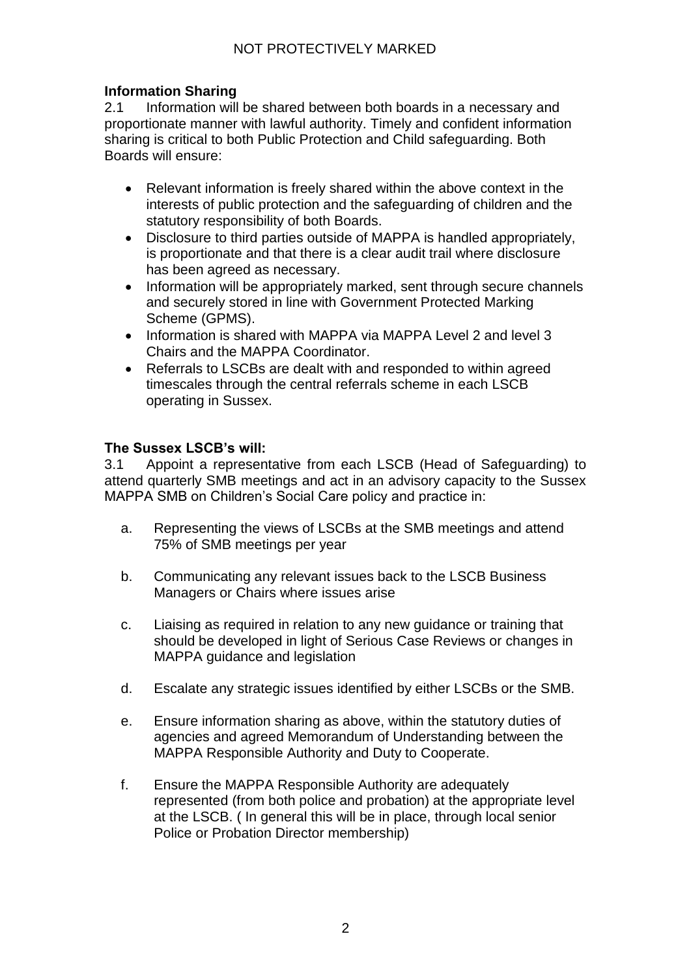# **Information Sharing**

2.1 Information will be shared between both boards in a necessary and proportionate manner with lawful authority. Timely and confident information sharing is critical to both Public Protection and Child safeguarding. Both Boards will ensure:

- Relevant information is freely shared within the above context in the interests of public protection and the safeguarding of children and the statutory responsibility of both Boards.
- Disclosure to third parties outside of MAPPA is handled appropriately, is proportionate and that there is a clear audit trail where disclosure has been agreed as necessary.
- Information will be appropriately marked, sent through secure channels and securely stored in line with Government Protected Marking Scheme (GPMS).
- Information is shared with MAPPA via MAPPA Level 2 and level 3 Chairs and the MAPPA Coordinator.
- Referrals to LSCBs are dealt with and responded to within agreed timescales through the central referrals scheme in each LSCB operating in Sussex.

#### **The Sussex LSCB's will:**

3.1 Appoint a representative from each LSCB (Head of Safeguarding) to attend quarterly SMB meetings and act in an advisory capacity to the Sussex MAPPA SMB on Children's Social Care policy and practice in:

- a. Representing the views of LSCBs at the SMB meetings and attend 75% of SMB meetings per year
- b. Communicating any relevant issues back to the LSCB Business Managers or Chairs where issues arise
- c. Liaising as required in relation to any new guidance or training that should be developed in light of Serious Case Reviews or changes in MAPPA guidance and legislation
- d. Escalate any strategic issues identified by either LSCBs or the SMB.
- e. Ensure information sharing as above, within the statutory duties of agencies and agreed Memorandum of Understanding between the MAPPA Responsible Authority and Duty to Cooperate.
- f. Ensure the MAPPA Responsible Authority are adequately represented (from both police and probation) at the appropriate level at the LSCB. ( In general this will be in place, through local senior Police or Probation Director membership)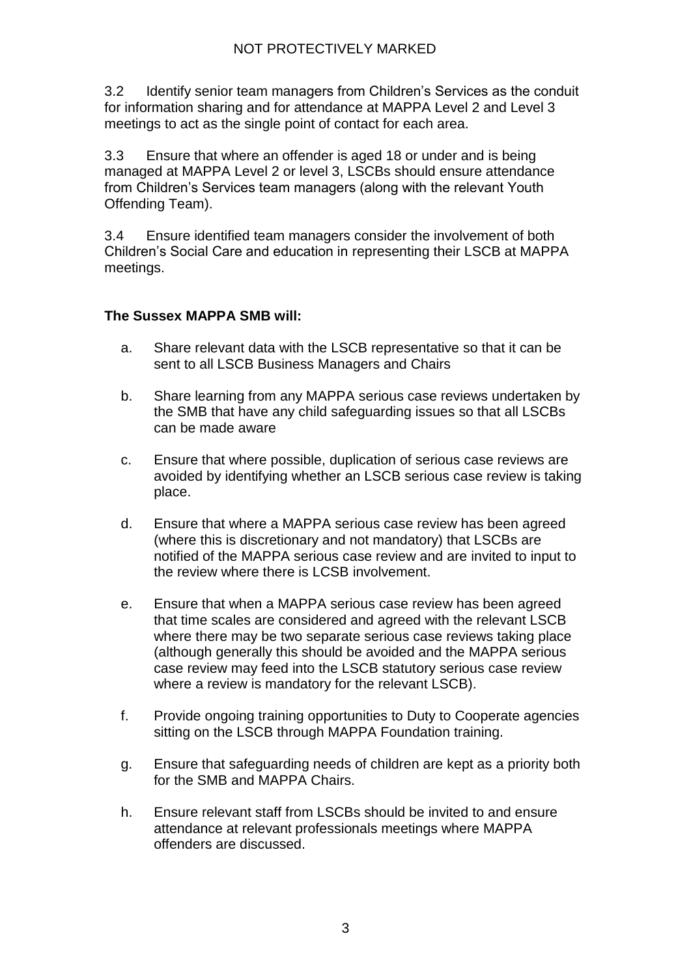3.2 Identify senior team managers from Children's Services as the conduit for information sharing and for attendance at MAPPA Level 2 and Level 3 meetings to act as the single point of contact for each area.

3.3 Ensure that where an offender is aged 18 or under and is being managed at MAPPA Level 2 or level 3, LSCBs should ensure attendance from Children's Services team managers (along with the relevant Youth Offending Team).

3.4 Ensure identified team managers consider the involvement of both Children's Social Care and education in representing their LSCB at MAPPA meetings.

## **The Sussex MAPPA SMB will:**

- a. Share relevant data with the LSCB representative so that it can be sent to all LSCB Business Managers and Chairs
- b. Share learning from any MAPPA serious case reviews undertaken by the SMB that have any child safeguarding issues so that all LSCBs can be made aware
- c. Ensure that where possible, duplication of serious case reviews are avoided by identifying whether an LSCB serious case review is taking place.
- d. Ensure that where a MAPPA serious case review has been agreed (where this is discretionary and not mandatory) that LSCBs are notified of the MAPPA serious case review and are invited to input to the review where there is LCSB involvement.
- e. Ensure that when a MAPPA serious case review has been agreed that time scales are considered and agreed with the relevant LSCB where there may be two separate serious case reviews taking place (although generally this should be avoided and the MAPPA serious case review may feed into the LSCB statutory serious case review where a review is mandatory for the relevant LSCB).
- f. Provide ongoing training opportunities to Duty to Cooperate agencies sitting on the LSCB through MAPPA Foundation training.
- g. Ensure that safeguarding needs of children are kept as a priority both for the SMB and MAPPA Chairs.
- h. Ensure relevant staff from LSCBs should be invited to and ensure attendance at relevant professionals meetings where MAPPA offenders are discussed.